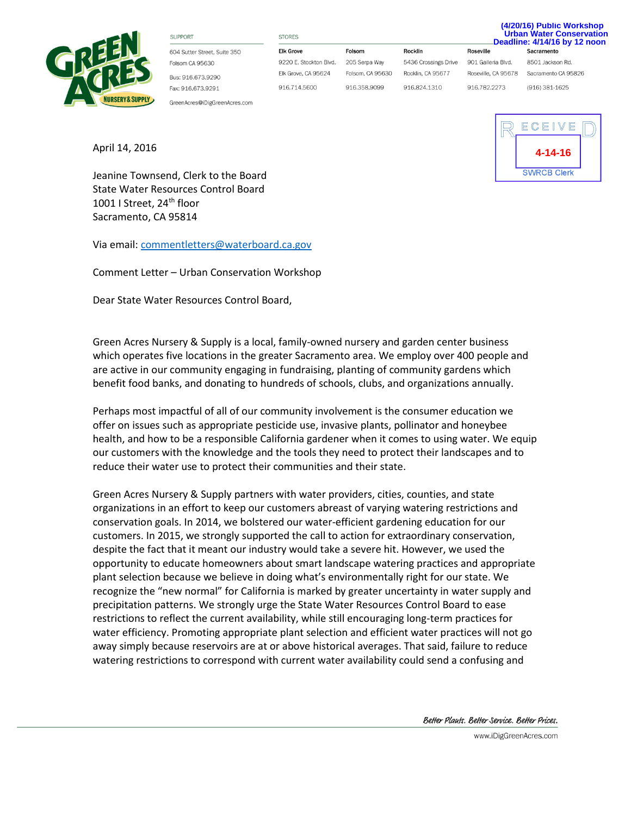

**SUPPORT** 

604 Sutter Street, Suite 350 Folsom CA 95630 Bus: 916,673,9290 Fax: 916.673.9291

GreenAcres@iDigGreenAcres.com

**STORES Elk Grove** 9220 E. Stockton Blvd.

Folsom 205 Serpa Way Elk Grove, CA 95624

916.714.5600 916.358.9099

Rocklin 5436 Crossings Drive Folsom, CA 95630 Rocklin, CA 95677 916.824.1310

**Deadline: 4/14/16 by 12 noon Roseville** Sacramento 901 Galleria Blvd. Roseville, CA 95678 Sacramento CA 95826 916.782.2273

8501 Jackson Rd. (916) 381-1625

**(4/20/16) Public Workshop Urban Water Conservation**

April 14, 2016

Jeanine Townsend, Clerk to the Board State Water Resources Control Board 1001 I Street, 24<sup>th</sup> floor Sacramento, CA 95814

Via email[: commentletters@waterboard.ca.gov](mailto:commentletters@waterboard.ca.gov)

Comment Letter – Urban Conservation Workshop

Dear State Water Resources Control Board,

Green Acres Nursery & Supply is a local, family-owned nursery and garden center business which operates five locations in the greater Sacramento area. We employ over 400 people and are active in our community engaging in fundraising, planting of community gardens which benefit food banks, and donating to hundreds of schools, clubs, and organizations annually.

Perhaps most impactful of all of our community involvement is the consumer education we offer on issues such as appropriate pesticide use, invasive plants, pollinator and honeybee health, and how to be a responsible California gardener when it comes to using water. We equip our customers with the knowledge and the tools they need to protect their landscapes and to reduce their water use to protect their communities and their state.

Green Acres Nursery & Supply partners with water providers, cities, counties, and state organizations in an effort to keep our customers abreast of varying watering restrictions and conservation goals. In 2014, we bolstered our water-efficient gardening education for our customers. In 2015, we strongly supported the call to action for extraordinary conservation, despite the fact that it meant our industry would take a severe hit. However, we used the opportunity to educate homeowners about smart landscape watering practices and appropriate plant selection because we believe in doing what's environmentally right for our state. We recognize the "new normal" for California is marked by greater uncertainty in water supply and precipitation patterns. We strongly urge the State Water Resources Control Board to ease restrictions to reflect the current availability, while still encouraging long-term practices for water efficiency. Promoting appropriate plant selection and efficient water practices will not go away simply because reservoirs are at or above historical averages. That said, failure to reduce watering restrictions to correspond with current water availability could send a confusing and